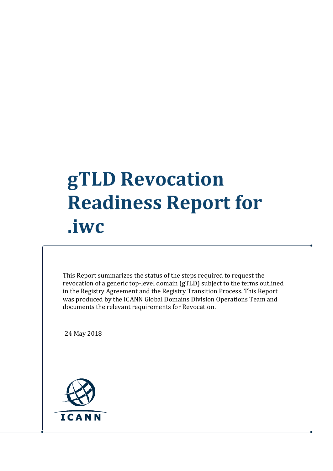## **gTLD Revocation Readiness Report for .iwc**

This Report summarizes the status of the steps required to request the revocation of a generic top-level domain (gTLD) subject to the terms outlined in the Registry Agreement and the Registry Transition Process. This Report was produced by the ICANN Global Domains Division Operations Team and documents the relevant requirements for Revocation.

24 May 2018

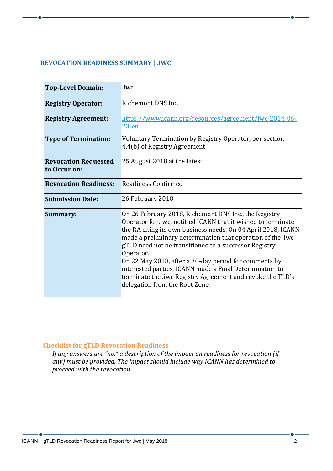## **REVOCATION READINESS SUMMARY | .IWC**

| <b>Top-Level Domain:</b>                    | .iwc                                                                                                                                                                                                                                                                                                                                                                                                                                                                                                                                             |
|---------------------------------------------|--------------------------------------------------------------------------------------------------------------------------------------------------------------------------------------------------------------------------------------------------------------------------------------------------------------------------------------------------------------------------------------------------------------------------------------------------------------------------------------------------------------------------------------------------|
| <b>Registry Operator:</b>                   | Richemont DNS Inc.                                                                                                                                                                                                                                                                                                                                                                                                                                                                                                                               |
| <b>Registry Agreement:</b>                  | https://www.icann.org/resources/agreement/iwc-2014-06-<br>$23-en$                                                                                                                                                                                                                                                                                                                                                                                                                                                                                |
| <b>Type of Termination:</b>                 | Voluntary Termination by Registry Operator, per section<br>4.4(b) of Registry Agreement                                                                                                                                                                                                                                                                                                                                                                                                                                                          |
| <b>Revocation Requested</b><br>to Occur on: | 25 August 2018 at the latest                                                                                                                                                                                                                                                                                                                                                                                                                                                                                                                     |
| <b>Revocation Readiness:</b>                | Readiness Confirmed                                                                                                                                                                                                                                                                                                                                                                                                                                                                                                                              |
| <b>Submission Date:</b>                     | 26 February 2018                                                                                                                                                                                                                                                                                                                                                                                                                                                                                                                                 |
| Summary:                                    | On 26 February 2018, Richemont DNS Inc., the Registry<br>Operator for .iwc, notified ICANN that it wished to terminate<br>the RA citing its own business needs. On 04 April 2018, ICANN<br>made a preliminary determination that operation of the .iwc<br>gTLD need not be transitioned to a successor Registry<br>Operator.<br>On 22 May 2018, after a 30-day period for comments by<br>interested parties, ICANN made a Final Determination to<br>terminate the .iwc Registry Agreement and revoke the TLD's<br>delegation from the Root Zone. |

## **Checklist for gTLD Revocation Readiness**

*If any answers are "no," a description of the impact on readiness for revocation (if any) must be provided. The impact should include why ICANN has determined to proceed with the revocation.*

 $\bullet$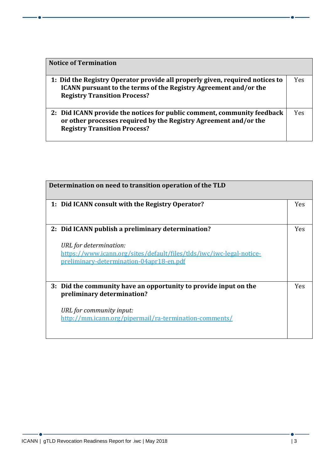| <b>Notice of Termination</b>                                                                                                                                                                   |     |
|------------------------------------------------------------------------------------------------------------------------------------------------------------------------------------------------|-----|
| 1: Did the Registry Operator provide all properly given, required notices to<br><b>ICANN</b> pursuant to the terms of the Registry Agreement and/or the<br><b>Registry Transition Process?</b> | Yes |
| 2: Did ICANN provide the notices for public comment, community feedback<br>or other processes required by the Registry Agreement and/or the<br><b>Registry Transition Process?</b>             | Yes |

| Determination on need to transition operation of the TLD                                                                                                                                        |            |
|-------------------------------------------------------------------------------------------------------------------------------------------------------------------------------------------------|------------|
| 1: Did ICANN consult with the Registry Operator?                                                                                                                                                | <b>Yes</b> |
| 2: Did ICANN publish a preliminary determination?<br>URL for determination:<br>https://www.icann.org/sites/default/files/tlds/iwc/iwc-legal-notice-<br>preliminary-determination-04apr18-en.pdf | <b>Yes</b> |
| 3: Did the community have an opportunity to provide input on the<br>preliminary determination?<br>URL for community input:<br>http://mm.icann.org/pipermail/ra-termination-comments/            | <b>Yes</b> |

- 6 -